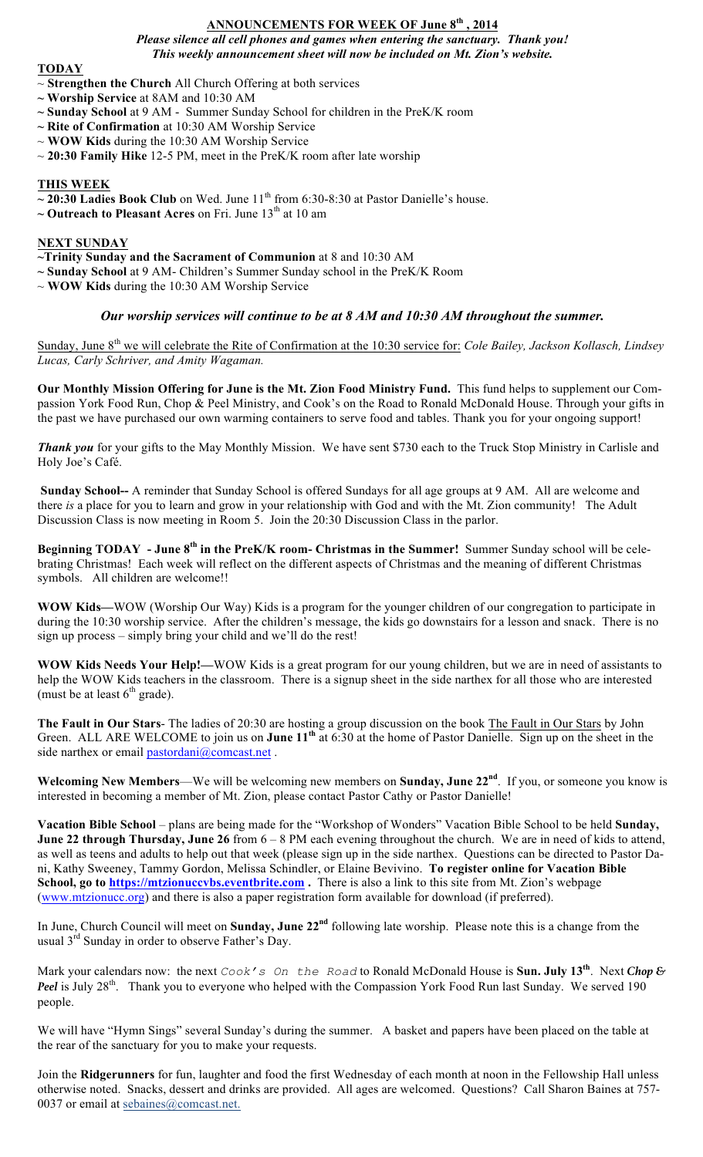## **ANNOUNCEMENTS FOR WEEK OF June 8th , 2014**

*Please silence all cell phones and games when entering the sanctuary. Thank you! This weekly announcement sheet will now be included on Mt. Zion's website.*

### **TODAY**

- ~ **Strengthen the Church** All Church Offering at both services
- **~ Worship Service** at 8AM and 10:30 AM
- **~ Sunday School** at 9 AM Summer Sunday School for children in the PreK/K room
- **~ Rite of Confirmation** at 10:30 AM Worship Service
- ~ **WOW Kids** during the 10:30 AM Worship Service
- ~ **20:30 Family Hike** 12-5 PM, meet in the PreK/K room after late worship

## **THIS WEEK**

- $\sim$  20:30 Ladies Book Club on Wed. June 11<sup>th</sup> from 6:30-8:30 at Pastor Danielle's house.
- $\sim$  **Outreach to Pleasant Acres** on Fri. June  $13<sup>th</sup>$  at 10 am

## **NEXT SUNDAY**

**~Trinity Sunday and the Sacrament of Communion** at 8 and 10:30 AM

- **~ Sunday School** at 9 AM- Children's Summer Sunday school in the PreK/K Room
- ~ **WOW Kids** during the 10:30 AM Worship Service

# *Our worship services will continue to be at 8 AM and 10:30 AM throughout the summer.*

Sunday, June 8<sup>th</sup> we will celebrate the Rite of Confirmation at the 10:30 service for: *Cole Bailey, Jackson Kollasch, Lindsey Lucas, Carly Schriver, and Amity Wagaman.*

**Our Monthly Mission Offering for June is the Mt. Zion Food Ministry Fund.** This fund helps to supplement our Compassion York Food Run, Chop & Peel Ministry, and Cook's on the Road to Ronald McDonald House. Through your gifts in the past we have purchased our own warming containers to serve food and tables. Thank you for your ongoing support!

*Thank you* for your gifts to the May Monthly Mission. We have sent \$730 each to the Truck Stop Ministry in Carlisle and Holy Joe's Café.

**Sunday School--** A reminder that Sunday School is offered Sundays for all age groups at 9 AM. All are welcome and there *is* a place for you to learn and grow in your relationship with God and with the Mt. Zion community! The Adult Discussion Class is now meeting in Room 5. Join the 20:30 Discussion Class in the parlor.

**Beginning TODAY - June 8th in the PreK/K room- Christmas in the Summer!** Summer Sunday school will be celebrating Christmas! Each week will reflect on the different aspects of Christmas and the meaning of different Christmas symbols. All children are welcome!!

**WOW Kids—**WOW (Worship Our Way) Kids is a program for the younger children of our congregation to participate in during the 10:30 worship service. After the children's message, the kids go downstairs for a lesson and snack. There is no sign up process – simply bring your child and we'll do the rest!

**WOW Kids Needs Your Help!—**WOW Kids is a great program for our young children, but we are in need of assistants to help the WOW Kids teachers in the classroom. There is a signup sheet in the side narthex for all those who are interested (must be at least  $6<sup>th</sup>$  grade).

**The Fault in Our Stars**- The ladies of 20:30 are hosting a group discussion on the book The Fault in Our Stars by John Green. ALL ARE WELCOME to join us on **June 11th** at 6:30 at the home of Pastor Danielle. Sign up on the sheet in the side narthex or email pastordani@comcast.net.

**Welcoming New Members**—We will be welcoming new members on **Sunday, June 22nd**. If you, or someone you know is interested in becoming a member of Mt. Zion, please contact Pastor Cathy or Pastor Danielle!

**Vacation Bible School** – plans are being made for the "Workshop of Wonders" Vacation Bible School to be held **Sunday, June 22 through Thursday, June 26** from 6 – 8 PM each evening throughout the church. We are in need of kids to attend, as well as teens and adults to help out that week (please sign up in the side narthex. Questions can be directed to Pastor Dani, Kathy Sweeney, Tammy Gordon, Melissa Schindler, or Elaine Bevivino. **To register online for Vacation Bible School, go to https://mtzionuccvbs.eventbrite.com .** There is also a link to this site from Mt. Zion's webpage (www.mtzionucc.org) and there is also a paper registration form available for download (if preferred).

In June, Church Council will meet on **Sunday, June 22nd** following late worship. Please note this is a change from the usual 3<sup>rd</sup> Sunday in order to observe Father's Day.

Mark your calendars now: the next *Cook's On the Road* to Ronald McDonald House is **Sun. July 13th**. Next *Chop & Peel* is July 28<sup>th</sup>. Thank you to everyone who helped with the Compassion York Food Run last Sunday. We served 190 people.

We will have "Hymn Sings" several Sunday's during the summer. A basket and papers have been placed on the table at the rear of the sanctuary for you to make your requests.

Join the **Ridgerunners** for fun, laughter and food the first Wednesday of each month at noon in the Fellowship Hall unless otherwise noted. Snacks, dessert and drinks are provided. All ages are welcomed. Questions? Call Sharon Baines at 757- 0037 or email at sebaines@comcast.net.